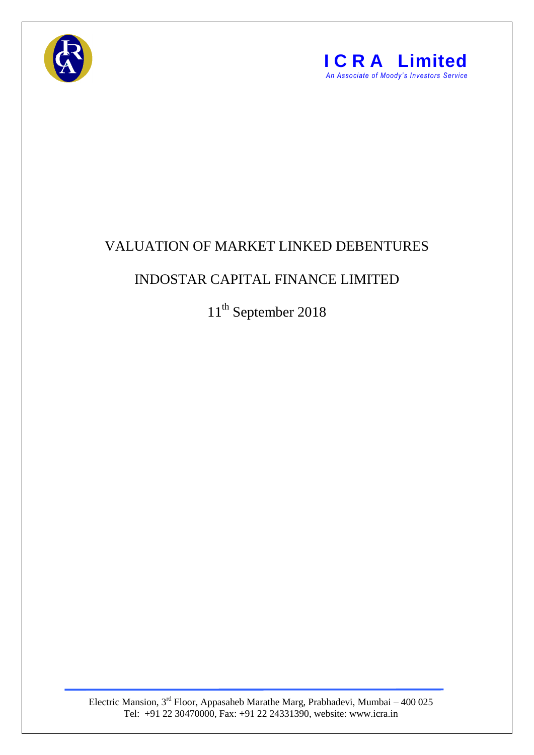



## VALUATION OF MARKET LINKED DEBENTURES

## INDOSTAR CAPITAL FINANCE LIMITED

11<sup>th</sup> September 2018